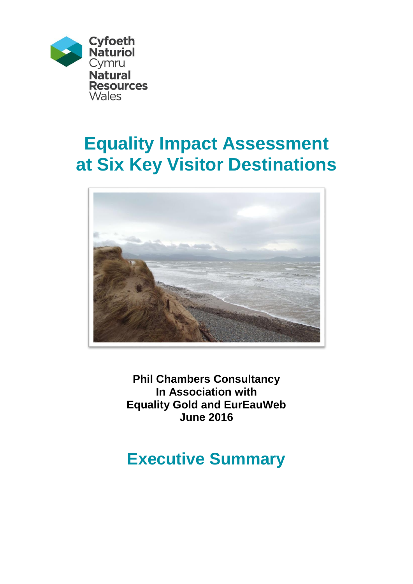

# **Equality Impact Assessment at Six Key Visitor Destinations**



**Phil Chambers Consultancy In Association with Equality Gold and EurEauWeb June 2016**

## **Executive Summary**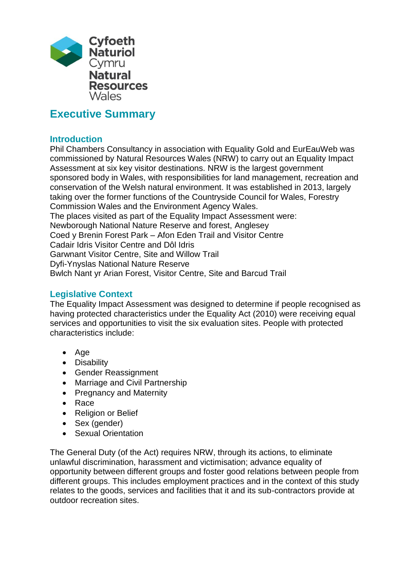

### **Executive Summary**

#### **Introduction**

Phil Chambers Consultancy in association with Equality Gold and EurEauWeb was commissioned by Natural Resources Wales (NRW) to carry out an Equality Impact Assessment at six key visitor destinations. NRW is the largest government sponsored body in Wales, with responsibilities for land management, recreation and conservation of the Welsh natural environment. It was established in 2013, largely taking over the former functions of the Countryside Council for Wales, Forestry Commission Wales and the Environment Agency Wales. The places visited as part of the Equality Impact Assessment were: Newborough National Nature Reserve and forest, Anglesey Coed y Brenin Forest Park – Afon Eden Trail and Visitor Centre Cadair Idris Visitor Centre and Dôl Idris Garwnant Visitor Centre, Site and Willow Trail

Dyfi-Ynyslas National Nature Reserve

Bwlch Nant yr Arian Forest, Visitor Centre, Site and Barcud Trail

#### **Legislative Context**

The Equality Impact Assessment was designed to determine if people recognised as having protected characteristics under the Equality Act (2010) were receiving equal services and opportunities to visit the six evaluation sites. People with protected characteristics include:

- Age
- Disability
- **•** Gender Reassignment
- Marriage and Civil Partnership
- Pregnancy and Maternity
- Race
- Religion or Belief
- Sex (gender)
- Sexual Orientation

The General Duty (of the Act) requires NRW, through its actions, to eliminate unlawful discrimination, harassment and victimisation; advance equality of opportunity between different groups and foster good relations between people from different groups. This includes employment practices and in the context of this study relates to the goods, services and facilities that it and its sub-contractors provide at outdoor recreation sites.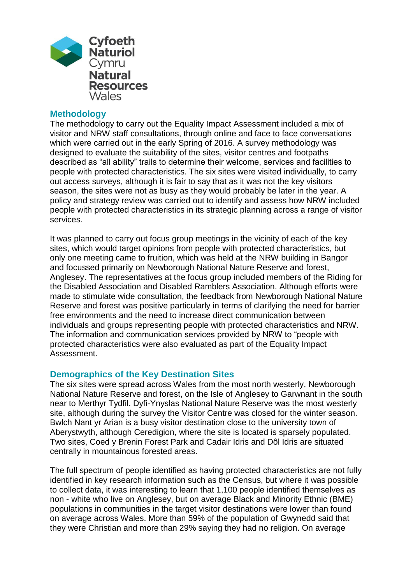

#### **Methodology**

The methodology to carry out the Equality Impact Assessment included a mix of visitor and NRW staff consultations, through online and face to face conversations which were carried out in the early Spring of 2016. A survey methodology was designed to evaluate the suitability of the sites, visitor centres and footpaths described as "all ability" trails to determine their welcome, services and facilities to people with protected characteristics. The six sites were visited individually, to carry out access surveys, although it is fair to say that as it was not the key visitors season, the sites were not as busy as they would probably be later in the year. A policy and strategy review was carried out to identify and assess how NRW included people with protected characteristics in its strategic planning across a range of visitor services.

It was planned to carry out focus group meetings in the vicinity of each of the key sites, which would target opinions from people with protected characteristics, but only one meeting came to fruition, which was held at the NRW building in Bangor and focussed primarily on Newborough National Nature Reserve and forest, Anglesey. The representatives at the focus group included members of the Riding for the Disabled Association and Disabled Ramblers Association. Although efforts were made to stimulate wide consultation, the feedback from Newborough National Nature Reserve and forest was positive particularly in terms of clarifying the need for barrier free environments and the need to increase direct communication between individuals and groups representing people with protected characteristics and NRW. The information and communication services provided by NRW to "people with protected characteristics were also evaluated as part of the Equality Impact Assessment.

#### **Demographics of the Key Destination Sites**

The six sites were spread across Wales from the most north westerly, Newborough National Nature Reserve and forest, on the Isle of Anglesey to Garwnant in the south near to Merthyr Tydfil. Dyfi-Ynyslas National Nature Reserve was the most westerly site, although during the survey the Visitor Centre was closed for the winter season. Bwlch Nant yr Arian is a busy visitor destination close to the university town of Aberystwyth, although Ceredigion, where the site is located is sparsely populated. Two sites, Coed y Brenin Forest Park and Cadair Idris and Dôl Idris are situated centrally in mountainous forested areas.

The full spectrum of people identified as having protected characteristics are not fully identified in key research information such as the Census, but where it was possible to collect data, it was interesting to learn that 1,100 people identified themselves as non - white who live on Anglesey, but on average Black and Minority Ethnic (BME) populations in communities in the target visitor destinations were lower than found on average across Wales. More than 59% of the population of Gwynedd said that they were Christian and more than 29% saying they had no religion. On average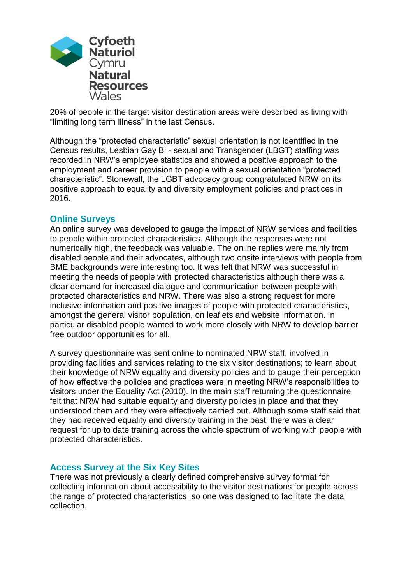

20% of people in the target visitor destination areas were described as living with "limiting long term illness" in the last Census.

Although the "protected characteristic" sexual orientation is not identified in the Census results, Lesbian Gay Bi - sexual and Transgender (LBGT) staffing was recorded in NRW's employee statistics and showed a positive approach to the employment and career provision to people with a sexual orientation "protected characteristic". Stonewall, the LGBT advocacy group congratulated NRW on its positive approach to equality and diversity employment policies and practices in 2016.

#### **Online Surveys**

An online survey was developed to gauge the impact of NRW services and facilities to people within protected characteristics. Although the responses were not numerically high, the feedback was valuable. The online replies were mainly from disabled people and their advocates, although two onsite interviews with people from BME backgrounds were interesting too. It was felt that NRW was successful in meeting the needs of people with protected characteristics although there was a clear demand for increased dialogue and communication between people with protected characteristics and NRW. There was also a strong request for more inclusive information and positive images of people with protected characteristics, amongst the general visitor population, on leaflets and website information. In particular disabled people wanted to work more closely with NRW to develop barrier free outdoor opportunities for all.

A survey questionnaire was sent online to nominated NRW staff, involved in providing facilities and services relating to the six visitor destinations; to learn about their knowledge of NRW equality and diversity policies and to gauge their perception of how effective the policies and practices were in meeting NRW's responsibilities to visitors under the Equality Act (2010). In the main staff returning the questionnaire felt that NRW had suitable equality and diversity policies in place and that they understood them and they were effectively carried out. Although some staff said that they had received equality and diversity training in the past, there was a clear request for up to date training across the whole spectrum of working with people with protected characteristics.

#### **Access Survey at the Six Key Sites**

There was not previously a clearly defined comprehensive survey format for collecting information about accessibility to the visitor destinations for people across the range of protected characteristics, so one was designed to facilitate the data collection.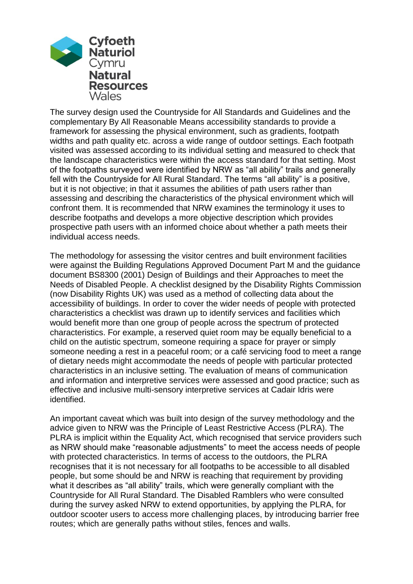

The survey design used the Countryside for All Standards and Guidelines and the complementary By All Reasonable Means accessibility standards to provide a framework for assessing the physical environment, such as gradients, footpath widths and path quality etc. across a wide range of outdoor settings. Each footpath visited was assessed according to its individual setting and measured to check that the landscape characteristics were within the access standard for that setting. Most of the footpaths surveyed were identified by NRW as "all ability" trails and generally fell with the Countryside for All Rural Standard. The terms "all ability" is a positive, but it is not objective; in that it assumes the abilities of path users rather than assessing and describing the characteristics of the physical environment which will confront them. It is recommended that NRW examines the terminology it uses to describe footpaths and develops a more objective description which provides prospective path users with an informed choice about whether a path meets their individual access needs.

The methodology for assessing the visitor centres and built environment facilities were against the Building Regulations Approved Document Part M and the guidance document BS8300 (2001) Design of Buildings and their Approaches to meet the Needs of Disabled People. A checklist designed by the Disability Rights Commission (now Disability Rights UK) was used as a method of collecting data about the accessibility of buildings. In order to cover the wider needs of people with protected characteristics a checklist was drawn up to identify services and facilities which would benefit more than one group of people across the spectrum of protected characteristics. For example, a reserved quiet room may be equally beneficial to a child on the autistic spectrum, someone requiring a space for prayer or simply someone needing a rest in a peaceful room; or a café servicing food to meet a range of dietary needs might accommodate the needs of people with particular protected characteristics in an inclusive setting. The evaluation of means of communication and information and interpretive services were assessed and good practice; such as effective and inclusive multi-sensory interpretive services at Cadair Idris were identified.

An important caveat which was built into design of the survey methodology and the advice given to NRW was the Principle of Least Restrictive Access (PLRA). The PLRA is implicit within the Equality Act, which recognised that service providers such as NRW should make "reasonable adjustments" to meet the access needs of people with protected characteristics. In terms of access to the outdoors, the PLRA recognises that it is not necessary for all footpaths to be accessible to all disabled people, but some should be and NRW is reaching that requirement by providing what it describes as "all ability" trails, which were generally compliant with the Countryside for All Rural Standard. The Disabled Ramblers who were consulted during the survey asked NRW to extend opportunities, by applying the PLRA, for outdoor scooter users to access more challenging places, by introducing barrier free routes; which are generally paths without stiles, fences and walls.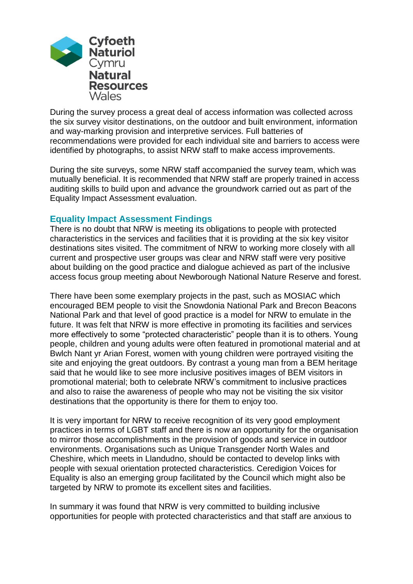

During the survey process a great deal of access information was collected across the six survey visitor destinations, on the outdoor and built environment, information and way-marking provision and interpretive services. Full batteries of recommendations were provided for each individual site and barriers to access were identified by photographs, to assist NRW staff to make access improvements.

During the site surveys, some NRW staff accompanied the survey team, which was mutually beneficial. It is recommended that NRW staff are properly trained in access auditing skills to build upon and advance the groundwork carried out as part of the Equality Impact Assessment evaluation.

#### **Equality Impact Assessment Findings**

There is no doubt that NRW is meeting its obligations to people with protected characteristics in the services and facilities that it is providing at the six key visitor destinations sites visited. The commitment of NRW to working more closely with all current and prospective user groups was clear and NRW staff were very positive about building on the good practice and dialogue achieved as part of the inclusive access focus group meeting about Newborough National Nature Reserve and forest.

There have been some exemplary projects in the past, such as MOSIAC which encouraged BEM people to visit the Snowdonia National Park and Brecon Beacons National Park and that level of good practice is a model for NRW to emulate in the future. It was felt that NRW is more effective in promoting its facilities and services more effectively to some "protected characteristic" people than it is to others. Young people, children and young adults were often featured in promotional material and at Bwlch Nant yr Arian Forest, women with young children were portrayed visiting the site and enjoying the great outdoors. By contrast a young man from a BEM heritage said that he would like to see more inclusive positives images of BEM visitors in promotional material; both to celebrate NRW's commitment to inclusive practices and also to raise the awareness of people who may not be visiting the six visitor destinations that the opportunity is there for them to enjoy too.

It is very important for NRW to receive recognition of its very good employment practices in terms of LGBT staff and there is now an opportunity for the organisation to mirror those accomplishments in the provision of goods and service in outdoor environments. Organisations such as Unique Transgender North Wales and Cheshire, which meets in Llandudno, should be contacted to develop links with people with sexual orientation protected characteristics. Ceredigion Voices for Equality is also an emerging group facilitated by the Council which might also be targeted by NRW to promote its excellent sites and facilities.

In summary it was found that NRW is very committed to building inclusive opportunities for people with protected characteristics and that staff are anxious to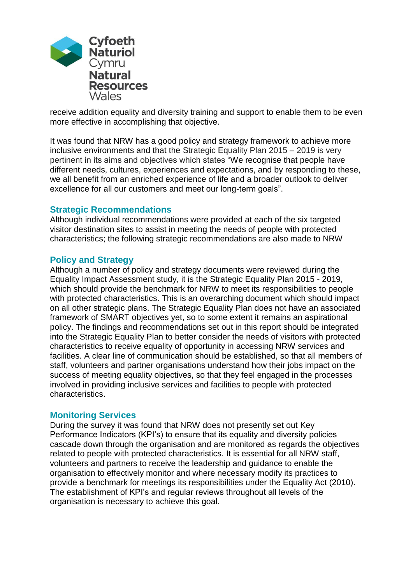

receive addition equality and diversity training and support to enable them to be even more effective in accomplishing that objective.

It was found that NRW has a good policy and strategy framework to achieve more inclusive environments and that the Strategic Equality Plan 2015 – 2019 is very pertinent in its aims and objectives which states "We recognise that people have different needs, cultures, experiences and expectations, and by responding to these, we all benefit from an enriched experience of life and a broader outlook to deliver excellence for all our customers and meet our long-term goals".

#### **Strategic Recommendations**

Although individual recommendations were provided at each of the six targeted visitor destination sites to assist in meeting the needs of people with protected characteristics; the following strategic recommendations are also made to NRW

#### **Policy and Strategy**

Although a number of policy and strategy documents were reviewed during the Equality Impact Assessment study, it is the Strategic Equality Plan 2015 - 2019, which should provide the benchmark for NRW to meet its responsibilities to people with protected characteristics. This is an overarching document which should impact on all other strategic plans. The Strategic Equality Plan does not have an associated framework of SMART objectives yet, so to some extent it remains an aspirational policy. The findings and recommendations set out in this report should be integrated into the Strategic Equality Plan to better consider the needs of visitors with protected characteristics to receive equality of opportunity in accessing NRW services and facilities. A clear line of communication should be established, so that all members of staff, volunteers and partner organisations understand how their jobs impact on the success of meeting equality objectives, so that they feel engaged in the processes involved in providing inclusive services and facilities to people with protected characteristics.

#### **Monitoring Services**

During the survey it was found that NRW does not presently set out Key Performance Indicators (KPI's) to ensure that its equality and diversity policies cascade down through the organisation and are monitored as regards the objectives related to people with protected characteristics. It is essential for all NRW staff, volunteers and partners to receive the leadership and guidance to enable the organisation to effectively monitor and where necessary modify its practices to provide a benchmark for meetings its responsibilities under the Equality Act (2010). The establishment of KPI's and regular reviews throughout all levels of the organisation is necessary to achieve this goal.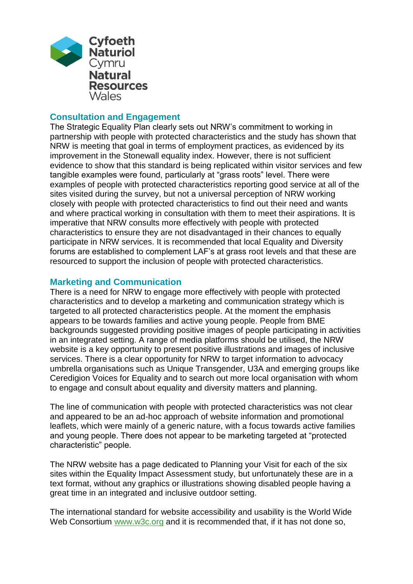

#### **Consultation and Engagement**

The Strategic Equality Plan clearly sets out NRW's commitment to working in partnership with people with protected characteristics and the study has shown that NRW is meeting that goal in terms of employment practices, as evidenced by its improvement in the Stonewall equality index. However, there is not sufficient evidence to show that this standard is being replicated within visitor services and few tangible examples were found, particularly at "grass roots" level. There were examples of people with protected characteristics reporting good service at all of the sites visited during the survey, but not a universal perception of NRW working closely with people with protected characteristics to find out their need and wants and where practical working in consultation with them to meet their aspirations. It is imperative that NRW consults more effectively with people with protected characteristics to ensure they are not disadvantaged in their chances to equally participate in NRW services. It is recommended that local Equality and Diversity forums are established to complement LAF's at grass root levels and that these are resourced to support the inclusion of people with protected characteristics.

#### **Marketing and Communication**

There is a need for NRW to engage more effectively with people with protected characteristics and to develop a marketing and communication strategy which is targeted to all protected characteristics people. At the moment the emphasis appears to be towards families and active young people. People from BME backgrounds suggested providing positive images of people participating in activities in an integrated setting. A range of media platforms should be utilised, the NRW website is a key opportunity to present positive illustrations and images of inclusive services. There is a clear opportunity for NRW to target information to advocacy umbrella organisations such as Unique Transgender, U3A and emerging groups like Ceredigion Voices for Equality and to search out more local organisation with whom to engage and consult about equality and diversity matters and planning.

The line of communication with people with protected characteristics was not clear and appeared to be an ad-hoc approach of website information and promotional leaflets, which were mainly of a generic nature, with a focus towards active families and young people. There does not appear to be marketing targeted at "protected characteristic" people.

The NRW website has a page dedicated to Planning your Visit for each of the six sites within the Equality Impact Assessment study, but unfortunately these are in a text format, without any graphics or illustrations showing disabled people having a great time in an integrated and inclusive outdoor setting.

The international standard for website accessibility and usability is the World Wide Web Consortium [www.w3c.org](https://www.w3.org/) and it is recommended that, if it has not done so,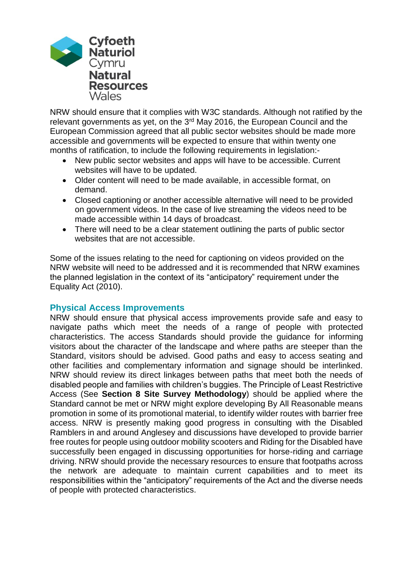

NRW should ensure that it complies with W3C standards. Although not ratified by the relevant governments as yet, on the 3<sup>rd</sup> May 2016, the European Council and the European Commission agreed that all public sector websites should be made more accessible and governments will be expected to ensure that within twenty one months of ratification, to include the following requirements in legislation:-

- New public sector websites and apps will have to be accessible. Current websites will have to be updated.
- Older content will need to be made available, in accessible format, on demand.
- Closed captioning or another accessible alternative will need to be provided on government videos. In the case of live streaming the videos need to be made accessible within 14 days of broadcast.
- There will need to be a clear statement outlining the parts of public sector websites that are not accessible.

Some of the issues relating to the need for captioning on videos provided on the NRW website will need to be addressed and it is recommended that NRW examines the planned legislation in the context of its "anticipatory" requirement under the Equality Act (2010).

#### **Physical Access Improvements**

NRW should ensure that physical access improvements provide safe and easy to navigate paths which meet the needs of a range of people with protected characteristics. The access Standards should provide the guidance for informing visitors about the character of the landscape and where paths are steeper than the Standard, visitors should be advised. Good paths and easy to access seating and other facilities and complementary information and signage should be interlinked. NRW should review its direct linkages between paths that meet both the needs of disabled people and families with children's buggies. The Principle of Least Restrictive Access (See **Section 8 Site Survey Methodology**) should be applied where the Standard cannot be met or NRW might explore developing By All Reasonable means promotion in some of its promotional material, to identify wilder routes with barrier free access. NRW is presently making good progress in consulting with the Disabled Ramblers in and around Anglesey and discussions have developed to provide barrier free routes for people using outdoor mobility scooters and Riding for the Disabled have successfully been engaged in discussing opportunities for horse-riding and carriage driving. NRW should provide the necessary resources to ensure that footpaths across the network are adequate to maintain current capabilities and to meet its responsibilities within the "anticipatory" requirements of the Act and the diverse needs of people with protected characteristics.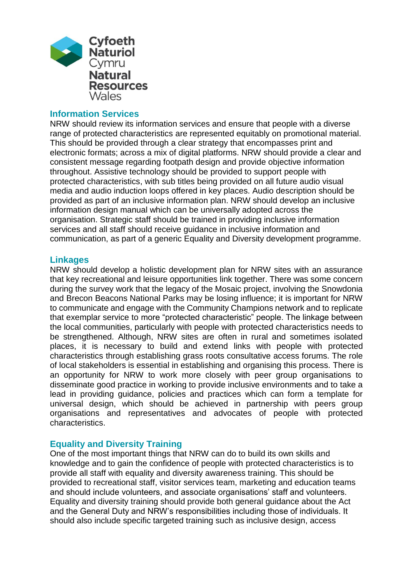

#### **Information Services**

NRW should review its information services and ensure that people with a diverse range of protected characteristics are represented equitably on promotional material. This should be provided through a clear strategy that encompasses print and electronic formats; across a mix of digital platforms. NRW should provide a clear and consistent message regarding footpath design and provide objective information throughout. Assistive technology should be provided to support people with protected characteristics, with sub titles being provided on all future audio visual media and audio induction loops offered in key places. Audio description should be provided as part of an inclusive information plan. NRW should develop an inclusive information design manual which can be universally adopted across the organisation. Strategic staff should be trained in providing inclusive information services and all staff should receive guidance in inclusive information and communication, as part of a generic Equality and Diversity development programme.

#### **Linkages**

NRW should develop a holistic development plan for NRW sites with an assurance that key recreational and leisure opportunities link together. There was some concern during the survey work that the legacy of the Mosaic project, involving the Snowdonia and Brecon Beacons National Parks may be losing influence; it is important for NRW to communicate and engage with the Community Champions network and to replicate that exemplar service to more "protected characteristic" people. The linkage between the local communities, particularly with people with protected characteristics needs to be strengthened. Although, NRW sites are often in rural and sometimes isolated places, it is necessary to build and extend links with people with protected characteristics through establishing grass roots consultative access forums. The role of local stakeholders is essential in establishing and organising this process. There is an opportunity for NRW to work more closely with peer group organisations to disseminate good practice in working to provide inclusive environments and to take a lead in providing guidance, policies and practices which can form a template for universal design, which should be achieved in partnership with peers group organisations and representatives and advocates of people with protected characteristics.

#### **Equality and Diversity Training**

One of the most important things that NRW can do to build its own skills and knowledge and to gain the confidence of people with protected characteristics is to provide all staff with equality and diversity awareness training. This should be provided to recreational staff, visitor services team, marketing and education teams and should include volunteers, and associate organisations' staff and volunteers. Equality and diversity training should provide both general guidance about the Act and the General Duty and NRW's responsibilities including those of individuals. It should also include specific targeted training such as inclusive design, access